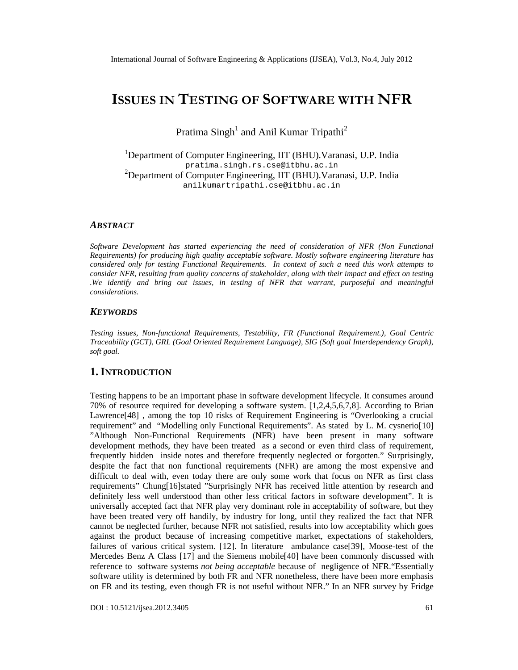# ISSUES TIENS TING **SOFF** TWARE WINTHER

Pratima SinghandAnil Kumar Tripathi

<sup>1</sup>Department oComputer Engineerind<sub>IT</sub> (BHU). Varanasi, U.P. India pratima.singh.rs. [cse@itbhu.ac.in](mailto:cse@itbhu.ac) <sup>2</sup>Department of Computer Engineering, (BHU).Varanasi, U.P. India anilkumartripathi.cse@it[bhu.ac.in](mailto:cse@itbhu.ac)

#### ABSTRACT

Software Development has started experiencing need of consideration of NFRNqn Functional Requiremers) for producing high quality acceptable software of software engineering literature has consideredonly for testing Functional Requirements. In context of such a needdis work attemptso consider NFR, resultingfom qualityconcerns of stakeholder, along with the impact and effect on testing .We identify and bring out issues, in testing of NFRhat warrant, purposefuland meaningful considerations.

## **KEYWORDS**

Testing issues, Nefunctional Requirement Testability, FR (Functional Requirement.) Goal Centric Traceability (GCT), GRL (GoalOriented Requirement Language) G Soft goal Interdependency Graph) soft goal.

## 1.I NTRODUCTION

Testing happens to be an important phase in software development lifecycle. It consumes around 70% of resource required for developing a software stem  $[1,2,4,5,6,7]$ . According to Brian Lawrenc $648$ ], among the top 10 risks of Requirement Engineering Oxerlooking a crucial requirement• and Mcodelling only Functional Requirements•. As stated by L. M. cysnel@b[ •Although Non-Functional Requirements (NFR) have been present in many software development methods, they have been treated sas and or even third class requirement, frequently hidden inside notes and therefore frequently neglected or forgottenrisingly, despite the fact that nofunctional requirements (NFR) are among the most expensive and difficult to deal with, eventoday there are onlysomework that focus on NFR as first class requirements•Chung[16]stated•Surprisingly NFR has received the attention by research and definitely less well understood than other less critical factors in software development•. It is universally accepted fact that NFR play very dominant role in acceptability funtare, but they have been treated very difendily, by industry for long, until they realized the fact that NFR cannot be neglected further, because NFR not satised its into low acceptability which goes against the product because of increasing competitive market, expectations of stakeholders, failures of various critical system  $12$ . In literature ambulance ca $$89$ , Moosetest of the Mercedes Benz A Class 71 and the Siemens mobile DI have been common discussed with reference tosoftware systems ot being acceptable because of negligence of NFR. €Essentially softwareutility is determinedby both FR and NFR nonetheless, there we have more emphasis on FR and itstesting, even though FR is useful without NFR. In an NFR survey by Fridge

DOI : 10.5121/ijsea.2012.3405 61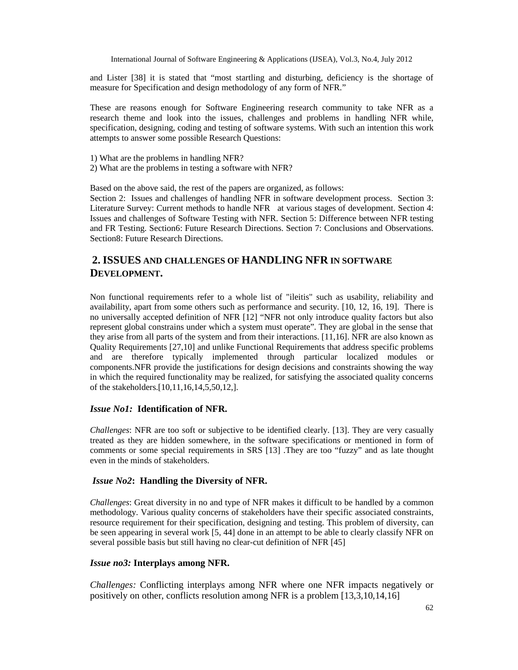and Lister [38] it is stated that "most startling and disturbing, deficiency is the shortage of measure for Specification and design methodology of any form of NFR."

These are reasons enough for Software Engineering research community to take NFR as a research theme and look into the issues, challenges and problems in handling NFR while, specification, designing, coding and testing of software systems. With such an intention this work attempts to answer some possible Research Questions:

- 1) What are the problems in handling NFR?
- 2) What are the problems in testing a software with NFR?

Based on the above said, the rest of the papers are organized, as follows:

Section 2: Issues and challenges of handling NFR in software development process. Section 3: Literature Survey: Current methods to handle NFR at various stages of development. Section 4: Issues and challenges of Software Testing with NFR. Section 5: Difference between NFR testing and FR Testing. Section6: Future Research Directions. Section 7: Conclusions and Observations. Section8: Future Research Directions.

# **2. ISSUES AND CHALLENGES OF HANDLING NFR IN SOFTWARE DEVELOPMENT.**

Non functional requirements refer to a whole list of "ileitis" such as usability, reliability and availability, apart from some others such as performance and security. [10, 12, 16, 19]. There is no universally accepted definition of NFR [12] "NFR not only introduce quality factors but also represent global constrains under which a system must operate". They are global in the sense that they arise from all parts of the system and from their interactions. [11,16]. NFR are also known as Quality Requirements [27,10] and unlike Functional Requirements that address specific problems and are therefore typically implemented through particular localized modules or components.NFR provide the justifications for design decisions and constraints showing the way in which the required functionality may be realized, for satisfying the associated quality concerns of the stakeholders.[10,11,16,14,5,50,12,].

#### *Issue No1:* **Identification of NFR.**

*Challenges*: NFR are too soft or subjective to be identified clearly. [13]. They are very casually treated as they are hidden somewhere, in the software specifications or mentioned in form of comments or some special requirements in SRS [13] .They are too "fuzzy" and as late thought even in the minds of stakeholders.

#### *Issue No2***: Handling the Diversity of NFR.**

*Challenges*: Great diversity in no and type of NFR makes it difficult to be handled by a common methodology. Various quality concerns of stakeholders have their specific associated constraints, resource requirement for their specification, designing and testing. This problem of diversity, can be seen appearing in several work [5, 44] done in an attempt to be able to clearly classify NFR on several possible basis but still having no clear-cut definition of NFR [45]

## *Issue no3:* **Interplays among NFR.**

*Challenges:* Conflicting interplays among NFR where one NFR impacts negatively or positively on other, conflicts resolution among NFR is a problem [13,3,10,14,16]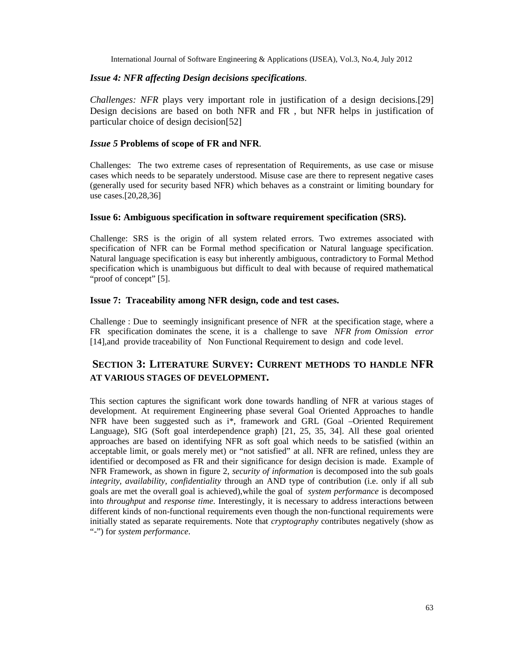## *Issue 4: NFR affecting Design decisions specifications.*

*Challenges: NFR* plays very important role in justification of a design decisions.[29] Design decisions are based on both NFR and FR , but NFR helps in justification of particular choice of design decision[52]

## *Issue 5* **Problems of scope of FR and NFR**.

Challenges: The two extreme cases of representation of Requirements, as use case or misuse cases which needs to be separately understood. Misuse case are there to represent negative cases (generally used for security based NFR) which behaves as a constraint or limiting boundary for use cases.[20,28,36]

#### **Issue 6: Ambiguous specification in software requirement specification (SRS).**

Challenge: SRS is the origin of all system related errors. Two extremes associated with specification of NFR can be Formal method specification or Natural language specification. Natural language specification is easy but inherently ambiguous, contradictory to Formal Method specification which is unambiguous but difficult to deal with because of required mathematical "proof of concept" [5].

#### **Issue 7: Traceability among NFR design, code and test cases.**

Challenge : Due to seemingly insignificant presence of NFR at the specification stage, where a FR specification dominates the scene, it is a challenge to save *NFR from Omission error* [14],and provide traceability of Non Functional Requirement to design and code level.

# **SECTION 3: LITERATURE SURVEY: CURRENT METHODS TO HANDLE NFR AT VARIOUS STAGES OF DEVELOPMENT.**

This section captures the significant work done towards handling of NFR at various stages of development. At requirement Engineering phase several Goal Oriented Approaches to handle NFR have been suggested such as i\*, framework and GRL (Goal –Oriented Requirement Language), SIG (Soft goal interdependence graph) [21, 25, 35, 34]. All these goal oriented approaches are based on identifying NFR as soft goal which needs to be satisfied (within an acceptable limit, or goals merely met) or "not satisfied" at all. NFR are refined, unless they are identified or decomposed as FR and their significance for design decision is made. Example of NFR Framework, as shown in figure 2, *security of information* is decomposed into the sub goals *integrity, availability, confidentiality* through an AND type of contribution (i.e. only if all sub goals are met the overall goal is achieved),while the goal of *system performance* is decomposed into *throughput* and *response time*. Interestingly, it is necessary to address interactions between different kinds of non-functional requirements even though the non-functional requirements were initially stated as separate requirements. Note that *cryptography* contributes negatively (show as "-") for *system performance*.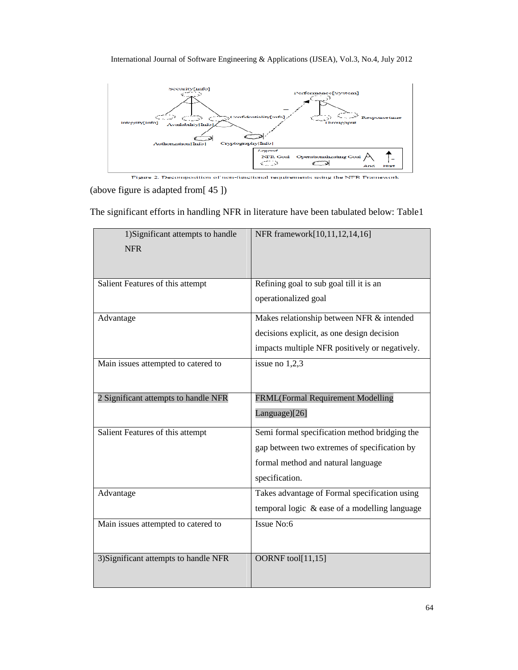

Figure 2. Decomposition of non-functional requirements using the NFR Framework

(above figure is adapted from[ 45 ])

The significant efforts in handling NFR in literature have been tabulated below: Table1

| 1) Significant attempts to handle<br><b>NFR</b> | NFR framework[10,11,12,14,16]                                                                                                                         |
|-------------------------------------------------|-------------------------------------------------------------------------------------------------------------------------------------------------------|
| Salient Features of this attempt                | Refining goal to sub goal till it is an<br>operationalized goal                                                                                       |
| Advantage                                       | Makes relationship between NFR & intended<br>decisions explicit, as one design decision<br>impacts multiple NFR positively or negatively.             |
| Main issues attempted to catered to             | issue no 1,2,3                                                                                                                                        |
| 2 Significant attempts to handle NFR            | FRML(Formal Requirement Modelling<br>Language)[26]                                                                                                    |
| Salient Features of this attempt                | Semi formal specification method bridging the<br>gap between two extremes of specification by<br>formal method and natural language<br>specification. |
| Advantage                                       | Takes advantage of Formal specification using<br>temporal logic & ease of a modelling language                                                        |
| Main issues attempted to catered to             | Issue No:6                                                                                                                                            |
| 3) Significant attempts to handle NFR           | OORNF tool[11,15]                                                                                                                                     |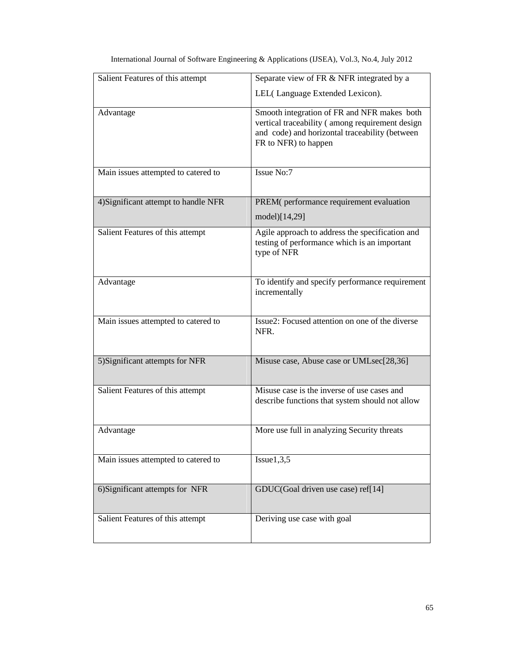| Salient Features of this attempt     | Separate view of FR & NFR integrated by a                                                                                                                                |
|--------------------------------------|--------------------------------------------------------------------------------------------------------------------------------------------------------------------------|
|                                      | LEL(Language Extended Lexicon).                                                                                                                                          |
| Advantage                            | Smooth integration of FR and NFR makes both<br>vertical traceability (among requirement design<br>and code) and horizontal traceability (between<br>FR to NFR) to happen |
| Main issues attempted to catered to  | Issue No:7                                                                                                                                                               |
| 4) Significant attempt to handle NFR | PREM(performance requirement evaluation<br>model)[14,29]                                                                                                                 |
| Salient Features of this attempt     | Agile approach to address the specification and<br>testing of performance which is an important<br>type of NFR                                                           |
| Advantage                            | To identify and specify performance requirement<br>incrementally                                                                                                         |
| Main issues attempted to catered to  | Issue2: Focused attention on one of the diverse<br>NFR.                                                                                                                  |
| 5) Significant attempts for NFR      | Misuse case, Abuse case or UMLsec[28,36]                                                                                                                                 |
| Salient Features of this attempt     | Misuse case is the inverse of use cases and<br>describe functions that system should not allow                                                                           |
| Advantage                            | More use full in analyzing Security threats                                                                                                                              |
| Main issues attempted to catered to  | Issue1,3,5                                                                                                                                                               |
| 6) Significant attempts for NFR      | GDUC(Goal driven use case) ref[14]                                                                                                                                       |
| Salient Features of this attempt     | Deriving use case with goal                                                                                                                                              |

| International Journal of Software Engineering & Applications (IJSEA), Vol.3, No.4, July 2012 |  |  |  |
|----------------------------------------------------------------------------------------------|--|--|--|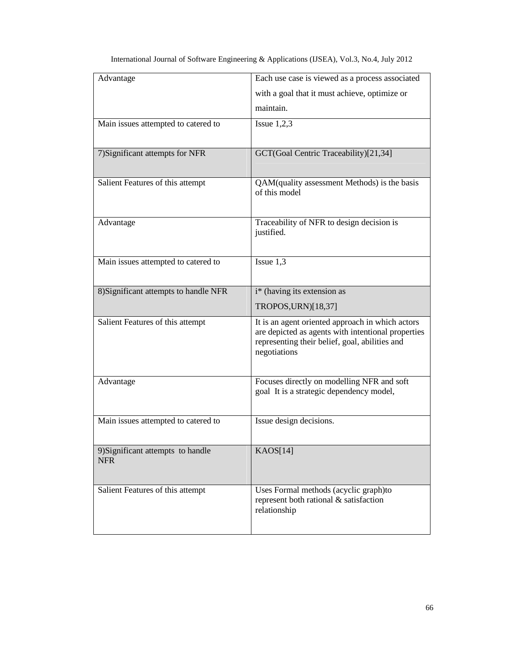| Advantage                             | Each use case is viewed as a process associated                                                      |
|---------------------------------------|------------------------------------------------------------------------------------------------------|
|                                       | with a goal that it must achieve, optimize or                                                        |
|                                       | maintain.                                                                                            |
| Main issues attempted to catered to   | Issue $1,2,3$                                                                                        |
|                                       |                                                                                                      |
| 7) Significant attempts for NFR       | GCT(Goal Centric Traceability)[21,34]                                                                |
|                                       |                                                                                                      |
| Salient Features of this attempt      | QAM(quality assessment Methods) is the basis<br>of this model                                        |
|                                       |                                                                                                      |
| Advantage                             | Traceability of NFR to design decision is                                                            |
|                                       | justified.                                                                                           |
|                                       |                                                                                                      |
| Main issues attempted to catered to   | Issue $1,3$                                                                                          |
|                                       |                                                                                                      |
| 8) Significant attempts to handle NFR | i* (having its extension as                                                                          |
|                                       | TROPOS, URN)[18,37]                                                                                  |
| Salient Features of this attempt      | It is an agent oriented approach in which actors                                                     |
|                                       | are depicted as agents with intentional properties<br>representing their belief, goal, abilities and |
|                                       | negotiations                                                                                         |
|                                       |                                                                                                      |
| Advantage                             | Focuses directly on modelling NFR and soft<br>goal It is a strategic dependency model,               |
|                                       |                                                                                                      |
| Main issues attempted to catered to   | Issue design decisions.                                                                              |
|                                       |                                                                                                      |
| 9) Significant attempts to handle     | KAOS[14]                                                                                             |
| <b>NFR</b>                            |                                                                                                      |
|                                       |                                                                                                      |
| Salient Features of this attempt      | Uses Formal methods (acyclic graph)to<br>represent both rational & satisfaction                      |
|                                       | relationship                                                                                         |
|                                       |                                                                                                      |
|                                       |                                                                                                      |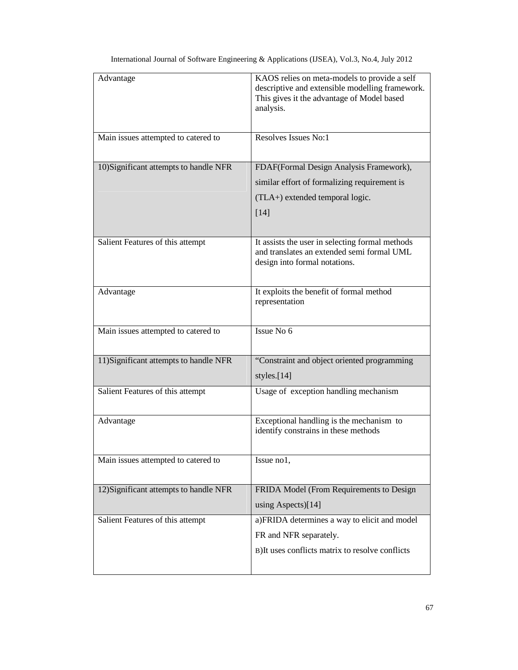| Advantage                              | KAOS relies on meta-models to provide a self<br>descriptive and extensible modelling framework.<br>This gives it the advantage of Model based<br>analysis. |
|----------------------------------------|------------------------------------------------------------------------------------------------------------------------------------------------------------|
| Main issues attempted to catered to    | Resolves Issues No:1                                                                                                                                       |
| 10) Significant attempts to handle NFR | FDAF(Formal Design Analysis Framework),                                                                                                                    |
|                                        | similar effort of formalizing requirement is                                                                                                               |
|                                        | (TLA+) extended temporal logic.                                                                                                                            |
|                                        | [14]                                                                                                                                                       |
| Salient Features of this attempt       | It assists the user in selecting formal methods<br>and translates an extended semi formal UML<br>design into formal notations.                             |
| Advantage                              | It exploits the benefit of formal method<br>representation                                                                                                 |
| Main issues attempted to catered to    | Issue No 6                                                                                                                                                 |
| 11) Significant attempts to handle NFR | "Constraint and object oriented programming<br>styles.[14]                                                                                                 |
| Salient Features of this attempt       | Usage of exception handling mechanism                                                                                                                      |
| Advantage                              | Exceptional handling is the mechanism to<br>identify constrains in these methods                                                                           |
| Main issues attempted to catered to    | Issue no1,                                                                                                                                                 |
| 12) Significant attempts to handle NFR | FRIDA Model (From Requirements to Design                                                                                                                   |
|                                        | using Aspects)[14]                                                                                                                                         |
| Salient Features of this attempt       | a)FRIDA determines a way to elicit and model                                                                                                               |
|                                        | FR and NFR separately.                                                                                                                                     |
|                                        | B) It uses conflicts matrix to resolve conflicts                                                                                                           |
|                                        |                                                                                                                                                            |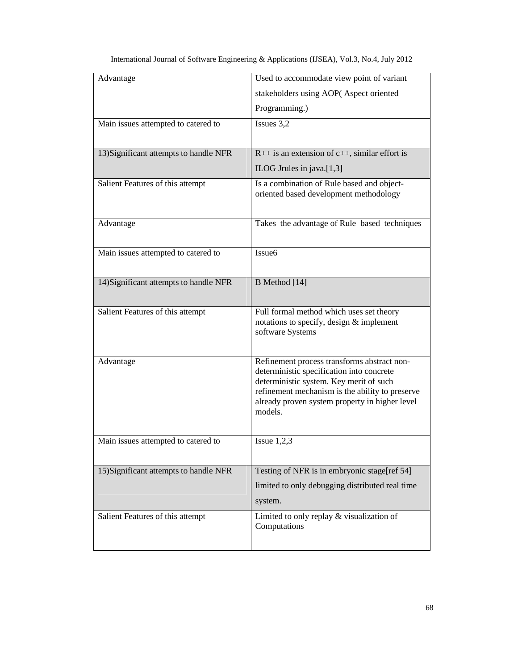| Advantage                              | Used to accommodate view point of variant                                                                                                                                                                                                           |
|----------------------------------------|-----------------------------------------------------------------------------------------------------------------------------------------------------------------------------------------------------------------------------------------------------|
|                                        | stakeholders using AOP(Aspect oriented                                                                                                                                                                                                              |
|                                        | Programming.)                                                                                                                                                                                                                                       |
| Main issues attempted to catered to    | Issues 3,2                                                                                                                                                                                                                                          |
|                                        |                                                                                                                                                                                                                                                     |
| 13) Significant attempts to handle NFR | $R++$ is an extension of $c++$ , similar effort is                                                                                                                                                                                                  |
|                                        | ILOG Jrules in java.[1,3]                                                                                                                                                                                                                           |
| Salient Features of this attempt       | Is a combination of Rule based and object-<br>oriented based development methodology                                                                                                                                                                |
| Advantage                              | Takes the advantage of Rule based techniques                                                                                                                                                                                                        |
| Main issues attempted to catered to    | Issue <sub>6</sub>                                                                                                                                                                                                                                  |
| 14) Significant attempts to handle NFR | B Method [14]                                                                                                                                                                                                                                       |
| Salient Features of this attempt       | Full formal method which uses set theory<br>notations to specify, design & implement<br>software Systems                                                                                                                                            |
| Advantage                              | Refinement process transforms abstract non-<br>deterministic specification into concrete<br>deterministic system. Key merit of such<br>refinement mechanism is the ability to preserve<br>already proven system property in higher level<br>models. |
| Main issues attempted to catered to    | Issue $1,2,3$                                                                                                                                                                                                                                       |
| 15) Significant attempts to handle NFR | Testing of NFR is in embryonic stage[ref 54]                                                                                                                                                                                                        |
|                                        | limited to only debugging distributed real time                                                                                                                                                                                                     |
|                                        | system.                                                                                                                                                                                                                                             |
| Salient Features of this attempt       | Limited to only replay $&$ visualization of<br>Computations                                                                                                                                                                                         |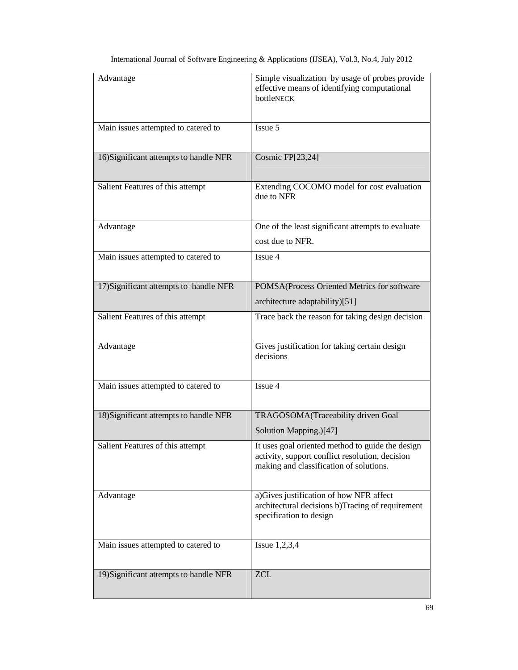| Advantage                              | Simple visualization by usage of probes provide<br>effective means of identifying computational<br>bottleNECK                                  |
|----------------------------------------|------------------------------------------------------------------------------------------------------------------------------------------------|
| Main issues attempted to catered to    | Issue 5                                                                                                                                        |
| 16) Significant attempts to handle NFR | Cosmic FP[23,24]                                                                                                                               |
| Salient Features of this attempt       | Extending COCOMO model for cost evaluation<br>due to NFR                                                                                       |
| Advantage                              | One of the least significant attempts to evaluate<br>cost due to NFR.                                                                          |
| Main issues attempted to catered to    | Issue 4                                                                                                                                        |
| 17) Significant attempts to handle NFR | POMSA(Process Oriented Metrics for software<br>architecture adaptability)[51]                                                                  |
| Salient Features of this attempt       | Trace back the reason for taking design decision                                                                                               |
| Advantage                              | Gives justification for taking certain design<br>decisions                                                                                     |
| Main issues attempted to catered to    | Issue 4                                                                                                                                        |
| 18) Significant attempts to handle NFR | TRAGOSOMA(Traceability driven Goal<br>Solution Mapping.)[47]                                                                                   |
| Salient Features of this attempt       | It uses goal oriented method to guide the design<br>activity, support conflict resolution, decision<br>making and classification of solutions. |
| Advantage                              | a) Gives justification of how NFR affect<br>architectural decisions b)Tracing of requirement<br>specification to design                        |
| Main issues attempted to catered to    | Issue $1,2,3,4$                                                                                                                                |
| 19) Significant attempts to handle NFR | <b>ZCL</b>                                                                                                                                     |

| International Journal of Software Engineering & Applications (IJSEA), Vol.3, No.4, July 2012 |  |  |  |
|----------------------------------------------------------------------------------------------|--|--|--|
|                                                                                              |  |  |  |
|                                                                                              |  |  |  |
|                                                                                              |  |  |  |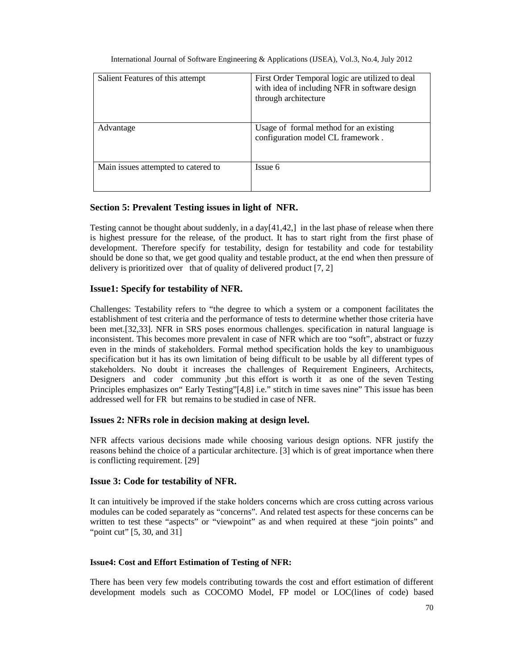| Salient Features of this attempt    | First Order Temporal logic are utilized to deal<br>with idea of including NFR in software design<br>through architecture |
|-------------------------------------|--------------------------------------------------------------------------------------------------------------------------|
| Advantage                           | Usage of formal method for an existing<br>configuration model CL framework.                                              |
| Main issues attempted to catered to | Issue 6                                                                                                                  |

## **Section 5: Prevalent Testing issues in light of NFR.**

Testing cannot be thought about suddenly, in a day $[41,42]$  in the last phase of release when there is highest pressure for the release, of the product. It has to start right from the first phase of development. Therefore specify for testability, design for testability and code for testability should be done so that, we get good quality and testable product, at the end when then pressure of delivery is prioritized over that of quality of delivered product [7, 2]

## **Issue1: Specify for testability of NFR.**

Challenges: Testability refers to "the degree to which a system or a component facilitates the establishment of test criteria and the performance of tests to determine whether those criteria have been met.[32,33]. NFR in SRS poses enormous challenges. specification in natural language is inconsistent. This becomes more prevalent in case of NFR which are too "soft", abstract or fuzzy even in the minds of stakeholders. Formal method specification holds the key to unambiguous specification but it has its own limitation of being difficult to be usable by all different types of stakeholders. No doubt it increases the challenges of Requirement Engineers, Architects, Designers and coder community ,but this effort is worth it as one of the seven Testing Principles emphasizes on" Early Testing"[4,8] i.e." stitch in time saves nine" This issue has been addressed well for FR but remains to be studied in case of NFR.

## **Issues 2: NFRs role in decision making at design level.**

NFR affects various decisions made while choosing various design options. NFR justify the reasons behind the choice of a particular architecture. [3] which is of great importance when there is conflicting requirement. [29]

## **Issue 3: Code for testability of NFR.**

It can intuitively be improved if the stake holders concerns which are cross cutting across various modules can be coded separately as "concerns". And related test aspects for these concerns can be written to test these "aspects" or "viewpoint" as and when required at these "join points" and "point cut" [5, 30, and 31]

## **Issue4: Cost and Effort Estimation of Testing of NFR:**

There has been very few models contributing towards the cost and effort estimation of different development models such as COCOMO Model, FP model or LOC(lines of code) based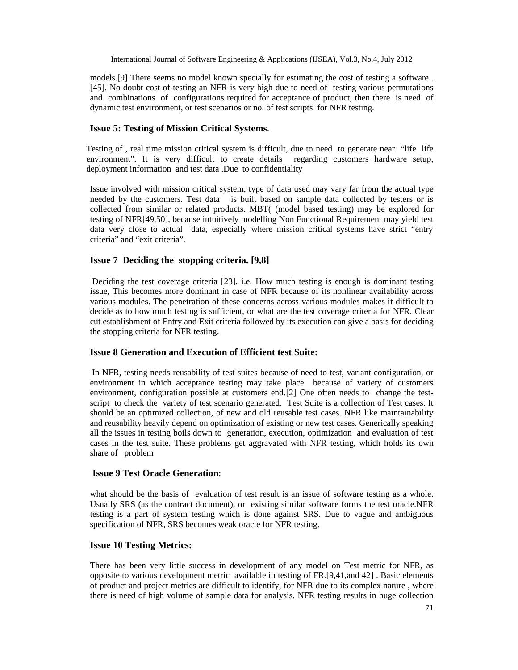models.[9] There seems no model known specially for estimating the cost of testing a software . [45]. No doubt cost of testing an NFR is very high due to need of testing various permutations and combinations of configurations required for acceptance of product, then there is need of dynamic test environment, or test scenarios or no. of test scripts for NFR testing.

## **Issue 5: Testing of Mission Critical Systems**.

Testing of , real time mission critical system is difficult, due to need to generate near "life life environment". It is very difficult to create details regarding customers hardware setup, deployment information and test data .Due to confidentiality

Issue involved with mission critical system, type of data used may vary far from the actual type needed by the customers. Test data is built based on sample data collected by testers or is collected from similar or related products. MBT( (model based testing) may be explored for testing of NFR[49,50], because intuitively modelling Non Functional Requirement may yield test data very close to actual data, especially where mission critical systems have strict "entry criteria" and "exit criteria".

## **Issue 7 Deciding the stopping criteria. [9,8]**

Deciding the test coverage criteria [23], i.e. How much testing is enough is dominant testing issue, This becomes more dominant in case of NFR because of its nonlinear availability across various modules. The penetration of these concerns across various modules makes it difficult to decide as to how much testing is sufficient, or what are the test coverage criteria for NFR. Clear cut establishment of Entry and Exit criteria followed by its execution can give a basis for deciding the stopping criteria for NFR testing.

## **Issue 8 Generation and Execution of Efficient test Suite:**

In NFR, testing needs reusability of test suites because of need to test, variant configuration, or environment in which acceptance testing may take place because of variety of customers environment, configuration possible at customers end.[2] One often needs to change the testscript to check the variety of test scenario generated. Test Suite is a collection of Test cases. It should be an optimized collection, of new and old reusable test cases. NFR like maintainability and reusability heavily depend on optimization of existing or new test cases. Generically speaking all the issues in testing boils down to generation, execution, optimization and evaluation of test cases in the test suite. These problems get aggravated with NFR testing, which holds its own share of problem

## **Issue 9 Test Oracle Generation**:

what should be the basis of evaluation of test result is an issue of software testing as a whole. Usually SRS (as the contract document), or existing similar software forms the test oracle.NFR testing is a part of system testing which is done against SRS. Due to vague and ambiguous specification of NFR, SRS becomes weak oracle for NFR testing.

## **Issue 10 Testing Metrics:**

There has been very little success in development of any model on Test metric for NFR, as opposite to various development metric available in testing of FR.[9,41,and 42] . Basic elements of product and project metrics are difficult to identify, for NFR due to its complex nature , where there is need of high volume of sample data for analysis. NFR testing results in huge collection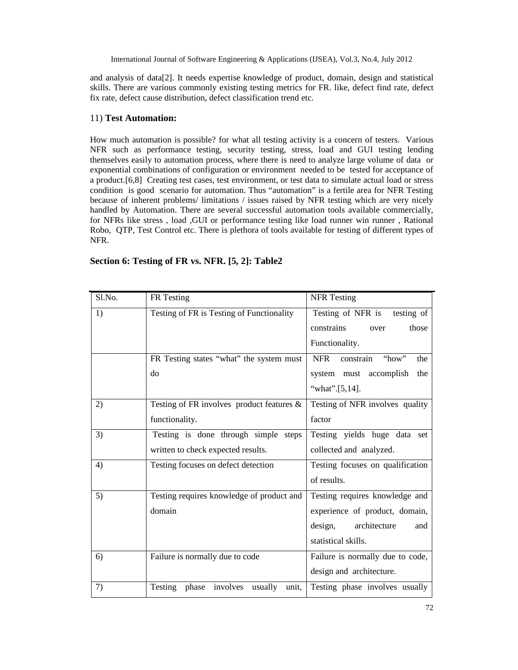and analysis of data[2]. It needs expertise knowledge of product, domain, design and statistical skills. There are various commonly existing testing metrics for FR. like, defect find rate, defect fix rate, defect cause distribution, defect classification trend etc.

## 11) **Test Automation:**

How much automation is possible? for what all testing activity is a concern of testers. Various NFR such as performance testing, security testing, stress, load and GUI testing lending themselves easily to automation process, where there is need to analyze large volume of data or exponential combinations of configuration or environment needed to be tested for acceptance of a product.[6,8] Creating test cases, test environment, or test data to simulate actual load or stress condition is good scenario for automation. Thus "automation" is a fertile area for NFR Testing because of inherent problems/ limitations / issues raised by NFR testing which are very nicely handled by Automation. There are several successful automation tools available commercially, for NFRs like stress , load ,GUI or performance testing like load runner win runner , Rational Robo, QTP, Test Control etc. There is plethora of tools available for testing of different types of NFR.

| Sl.No. | FR Testing                                    | <b>NFR</b> Testing                      |
|--------|-----------------------------------------------|-----------------------------------------|
| 1)     | Testing of FR is Testing of Functionality     | Testing of NFR is testing of            |
|        |                                               | those<br>constrains<br>over             |
|        |                                               | Functionality.                          |
|        | FR Testing states "what" the system must      | <b>NFR</b><br>constrain<br>"how"<br>the |
|        | do                                            | system must accomplish<br>the           |
|        |                                               | "what".[5,14].                          |
| 2)     | Testing of FR involves product features $\&$  | Testing of NFR involves quality         |
|        | functionality.                                | factor                                  |
| 3)     | Testing is done through simple steps          | Testing yields huge data set            |
|        | written to check expected results.            | collected and analyzed.                 |
| 4)     | Testing focuses on defect detection           | Testing focuses on qualification        |
|        |                                               | of results.                             |
| 5)     | Testing requires knowledge of product and     | Testing requires knowledge and          |
|        | domain                                        | experience of product, domain,          |
|        |                                               | design, architecture<br>and             |
|        |                                               | statistical skills.                     |
| 6)     | Failure is normally due to code               | Failure is normally due to code,        |
|        |                                               | design and architecture.                |
| 7)     | Testing<br>phase involves<br>usually<br>unit, | Testing phase involves usually          |

**Section 6: Testing of FR vs. NFR. [5, 2]: Table2**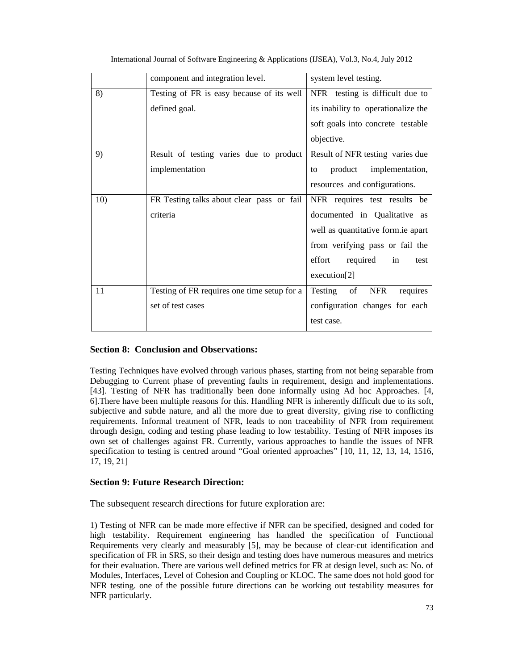|     | component and integration level.            | system level testing.                |
|-----|---------------------------------------------|--------------------------------------|
| 8)  | Testing of FR is easy because of its well   | NFR testing is difficult due to      |
|     | defined goal.                               | its inability to operationalize the  |
|     |                                             | soft goals into concrete testable    |
|     |                                             | objective.                           |
| 9)  | Result of testing varies due to product     | Result of NFR testing varies due     |
|     | implementation                              | implementation,<br>product<br>to     |
|     |                                             | resources and configurations.        |
| 10) | FR Testing talks about clear pass or fail   | NFR requires test results be         |
|     | criteria                                    | documented in Qualitative as         |
|     |                                             | well as quantitative form ie apart   |
|     |                                             | from verifying pass or fail the      |
|     |                                             | effort<br>required<br>in<br>test     |
|     |                                             | execution[2]                         |
| 11  | Testing of FR requires one time setup for a | Testing of<br><b>NFR</b><br>requires |
|     | set of test cases                           | configuration changes for each       |
|     |                                             | test case.                           |

International Journal of Software Engineering & Applications (IJSEA), Vol.3, No.4, July 2012

## **Section 8: Conclusion and Observations:**

Testing Techniques have evolved through various phases, starting from not being separable from Debugging to Current phase of preventing faults in requirement, design and implementations. [43]. Testing of NFR has traditionally been done informally using Ad hoc Approaches. [4, 6].There have been multiple reasons for this. Handling NFR is inherently difficult due to its soft, subjective and subtle nature, and all the more due to great diversity, giving rise to conflicting requirements. Informal treatment of NFR, leads to non traceability of NFR from requirement through design, coding and testing phase leading to low testability. Testing of NFR imposes its own set of challenges against FR. Currently, various approaches to handle the issues of NFR specification to testing is centred around "Goal oriented approaches" [10, 11, 12, 13, 14, 1516, 17, 19, 21]

## **Section 9: Future Research Direction:**

The subsequent research directions for future exploration are:

1) Testing of NFR can be made more effective if NFR can be specified, designed and coded for high testability. Requirement engineering has handled the specification of Functional Requirements very clearly and measurably [5], may be because of clear-cut identification and specification of FR in SRS, so their design and testing does have numerous measures and metrics for their evaluation. There are various well defined metrics for FR at design level, such as: No. of Modules, Interfaces, Level of Cohesion and Coupling or KLOC. The same does not hold good for NFR testing. one of the possible future directions can be working out testability measures for NFR particularly.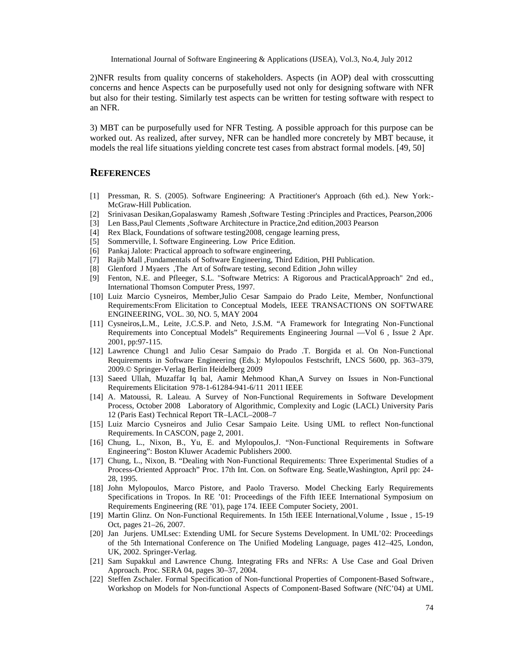2)NFR results from quality concerns of stakeholders. Aspects (in AOP) deal with crosscutting concerns and hence Aspects can be purposefully used not only for designing software with NFR but also for their testing. Similarly test aspects can be written for testing software with respect to an NFR.

3) MBT can be purposefully used for NFR Testing. A possible approach for this purpose can be worked out. As realized, after survey, NFR can be handled more concretely by MBT because, it models the real life situations yielding concrete test cases from abstract formal models. [49, 50]

## **REFERENCES**

- [1] Pressman, R. S. (2005). Software Engineering: A Practitioner's Approach (6th ed.). New York:- McGraw-Hill Publication.
- [2] Srinivasan Desikan,Gopalaswamy Ramesh ,Software Testing :Principles and Practices, Pearson,2006
- [3] Len Bass,Paul Clements ,Software Architecture in Practice,2nd edition,2003 Pearson
- [4] Rex Black, Foundations of software testing2008, cengage learning press,
- [5] Sommerville, I. Software Engineering. Low Price Edition.
- [6] Pankaj Jalote: Practical approach to software engineering,
- [7] Rajib Mall ,Fundamentals of Software Engineering, Third Edition, PHI Publication.
- [8] Glenford J Myaers ,The Art of Software testing, second Edition ,John willey
- [9] Fenton, N.E. and Pfleeger, S.L. "Software Metrics: A Rigorous and PracticalApproach" 2nd ed., International Thomson Computer Press, 1997.
- [10] Luiz Marcio Cysneiros, Member,Julio Cesar Sampaio do Prado Leite, Member, Nonfunctional Requirements:From Elicitation to Conceptual Models, IEEE TRANSACTIONS ON SOFTWARE ENGINEERING, VOL. 30, NO. 5, MAY 2004
- [11] Cysneiros,L.M., Leite, J.C.S.P. and Neto, J.S.M. "A Framework for Integrating Non-Functional Requirements into Conceptual Models" Requirements Engineering Journal ––Vol 6 , Issue 2 Apr. 2001, pp:97-115.
- [12] Lawrence Chung1 and Julio Cesar Sampaio do Prado .T. Borgida et al. On Non-Functional Requirements in Software Engineering (Eds.): Mylopoulos Festschrift, LNCS 5600, pp. 363–379, 2009.© Springer-Verlag Berlin Heidelberg 2009
- [13] Saeed Ullah, Muzaffar Iq bal, Aamir Mehmood Khan,A Survey on Issues in Non-Functional Requirements Elicitation 978-1-61284-941-6/11 2011 IEEE
- [14] A. Matoussi, R. Laleau. A Survey of Non-Functional Requirements in Software Development Process, October 2008 Laboratory of Algorithmic, Complexity and Logic (LACL) University Paris 12 (Paris East) Technical Report TR–LACL–2008–7
- [15] Luiz Marcio Cysneiros and Julio Cesar Sampaio Leite. Using UML to reflect Non-functional Requirements. In CASCON, page 2, 2001.
- [16] Chung, L., Nixon, B., Yu, E. and Mylopoulos, J. "Non-Functional Requirements in Software Engineering": Boston Kluwer Academic Publishers 2000.
- [17] Chung, L., Nixon, B. "Dealing with Non-Functional Requirements: Three Experimental Studies of a Process-Oriented Approach" Proc. 17th Int. Con. on Software Eng. Seatle,Washington, April pp: 24- 28, 1995.
- [18] John Mylopoulos, Marco Pistore, and Paolo Traverso. Model Checking Early Requirements Specifications in Tropos. In RE '01: Proceedings of the Fifth IEEE International Symposium on Requirements Engineering (RE '01), page 174. IEEE Computer Society, 2001.
- [19] Martin Glinz. On Non-Functional Requirements. In 15th IEEE International,Volume , Issue , 15-19 Oct, pages 21–26, 2007.
- [20] Jan Jurjens. UMLsec: Extending UML for Secure Systems Development. In UML'02: Proceedings of the 5th International Conference on The Unified Modeling Language, pages 412–425, London, UK, 2002. Springer-Verlag.
- [21] Sam Supakkul and Lawrence Chung. Integrating FRs and NFRs: A Use Case and Goal Driven Approach. Proc. SERA 04, pages 30–37, 2004.
- [22] Steffen Zschaler. Formal Specification of Non-functional Properties of Component-Based Software., Workshop on Models for Non-functional Aspects of Component-Based Software (NfC'04) at UML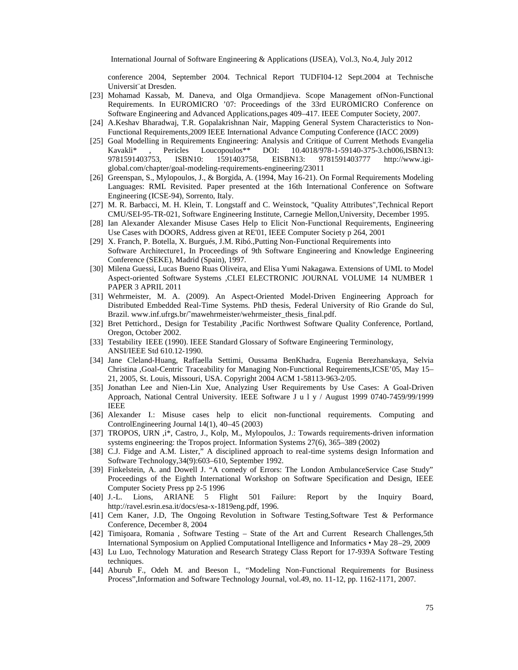conference 2004, September 2004. Technical Report TUDF204 Sept.2004 at Technische Universit¨at Dresden.

- [23] Mohamad Kassab, M. Daneva, and Olga Ormandjieva. Scope Management-FoinNotional Requirements. InEUROMICRO ƒ07: Proceedings of the 33rd EUROMICRO Conference on Software Engineering and Advanced Applications,pages 4109 IEEE Computer Society, 2007.
- [24] A.Keshav Bharadwaj, T.R. Gopalakrishnan Nair, Mapping General System Characteristics to Non Functional Requirements,2009 IEEE International Advance Computing Conference (IACC 2009)
- [25] Goal Modelling in Requirements Engineering: Analysis and Critique of Current Methods Evangelia Kavakli\*, Pericles Loucopoulos\*\* DOI: 10.4018/97859140375-3.ch006, SBN13: 9781591403753, ISBN10: 1591403758, EISBN13: 97815914037[77 http://ww](http://www.igi-)w.igi global.com/chapter/goan bodeling requirementsengineering/23011
- [26] Greenspan, S., Mylopoulos, J., & Borgida, A. (1994, Ma-216 On Formal Requirements Modeling Languages:RML Revisited. Paper presented at the 16th International Conference on Software Engineering (ICSE94), Sorrento, Italy.
- [27] M. R. Barbacci, M. H. Klein, T. Longstaff and C. Weinstock, "Quality Attributes",Technical Report CMU/SEI-95-TR-021, Software Engieering Institute, Carnegie Mellon, University, December 1995.
- [28] Ian Alexander Alexander Misuse Cases Help to Elicit **Non**ctional Requirements, Engineering Use Cases with DOORS, Address given at RE'01, IEEE Computer Society p 264, 2001
- [29] X. Franch, P. Botella, X. Burgués, J.M. Ribó., Putting Non notional Requirements into Software Architecture1, In Proceedings of 9th Software Engineering and Knowledge Engineering Conference (SEKE), Madrid (Spain), 1997.
- [30] Milena Guessi, Lucas Bueno Ruas Oliveand Elisa Yumi Nakagawa. Extensions of UML to Model Aspectoriented Software Systems ,CLEI ELECTRONIC JOURNAL VOLUME 14 NUMBER 1 PAPER 3 APRIL 2011
- [31] Wehrmeister, M. A. (2009). An Aspectriented ModeDriven Engineering Approach for Distributed Embedde Real-Time Systems. PhD thesis, Federal University of Rio Grande do Sul, Brazil. w[ww.inf.ufrgs.br/"m](www.inf.ufrgs.br/)awehrmeister/wehrmeister\_thesis\_final.pdf.
- [32] Bret Pettichord., Design for Testability ,Pacific Northwest Software Quality Conference, Portland, Oregon,October 2002.
- [33] Testability IEEE (1990). IEEE Standard Glossary of Software Engineering Terminology, ANSI/IEEE Std 610.121990.
- [34] Jane ClelandHuang, Raffaella Settimi, Oussama BenKhadra, Eugenia Berezhanskaya, Selvia Christina ,GoaCentric Traceality for Managing Non-Functional Requirements,ICSEf05, May 15 21, 2005, St. Louis, Missouri, USA. Copyright 2004 ACM58113963-2/05.
- [35] Jonathan Lee and Nidrin Xue, Analyzing User Requirements by Use Cases: A Goarlen Approach, National CentralUniversity. IEEE Software J u I y / August 1999 0744059/99/1999 IEEE
- [36] Alexander I.: Misuse cases help to elicit rianctional requirements. Computing and ControlEngineering Journal 14(1), 405 (2003)
- [37] TROPOS, URN ,i\*, Castro, J., Kolp, M., Myboulos, J.: Towards requirementsiven information systems engineering: the Tropos project. Information Systems 27(6)389662002)
- [38] C.J. Fidge and A.M. Lister,• A disciplined approach to real systems design Information and Software Technolog \$4(9):603 610, September 1992.
- [39] Finkelstein, A. and Dowell J. €A comedy of Errors: The London AmbulanceService Case Study• Proceedings of the Eighth International Workshop on Software Specification and Design, IEEE Computer Society Press pp521996
- [40] J.-L. Lions, ARIANE 5 Flight 501 Failure: Report by the Inquiry Board, http://ravel.esrin.esa.it/docs/examerationg.pdf, 1996.
- [41] Cem Kaner, J.D, The Ongoing Revolution in Software Testing,Software Test & Performance Conference, December 8, 2004
- [42] Timi...oara, Romania, Software Testing tate of the Art and Current Research Challenges, 5th International Symposium on Applied Computational Intelligence and Informatics  $\dagger$  Ma9, 28009
- [43] Lu Luo, Technology Maturation and Research Strategy ClaporRtor 17939A Software Testing techniques.
- [44] Aburub F., Odeh M. and Beeson I.,  $\epsilon$ Modeling *Nomestional* Requirements for Business Process•, Information and Software Technology Journal, vol.49, no2,1pp. 11621171, 2007.